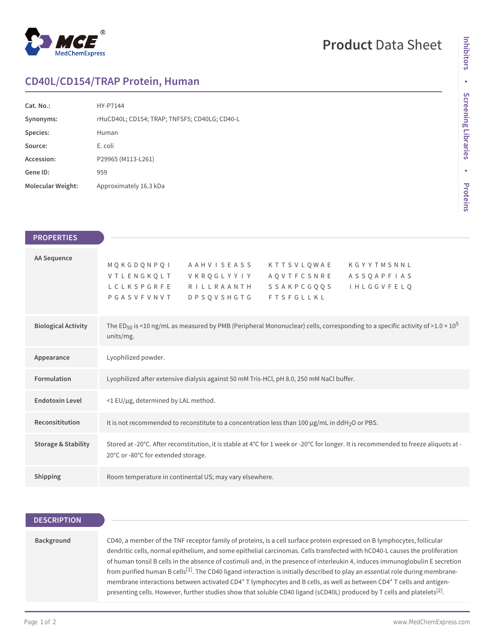

## **Product** Data Sheet

## **CD40L/CD154/TRAP Protein, Human**

| Cat. No.:         | HY-P7144                                      |
|-------------------|-----------------------------------------------|
| Synonyms:         | rHuCD40L; CD154; TRAP; TNFSF5; CD40LG; CD40-L |
| Species:          | Human                                         |
| Source:           | E. coli                                       |
| Accession:        | P29965 (M113-L261)                            |
| Gene ID:          | 959                                           |
| Molecular Weight: | Approximately 16.3 kDa                        |

| <b>PROPERTIES</b>              |                                                                                                                                                                                                                                                               |
|--------------------------------|---------------------------------------------------------------------------------------------------------------------------------------------------------------------------------------------------------------------------------------------------------------|
| <b>AA Sequence</b>             | MQKGDQNPQI<br>A A H V I S E A S S<br>KTTSVLOWAE<br>KGYYTMSNNL<br>VTLENGKQLT<br>V K R Q G L Y Y I Y<br>AQVTFCSNRE<br>ASSQAPFIAS<br>LCLKSPGRFE<br>RILLRAANTH<br>SSAKPCGQQS<br><b>I H L G G V F E L Q</b><br><b>DPSQVSHGTG</b><br><b>FTSFGLLKL</b><br>PGASVFVNVT |
| <b>Biological Activity</b>     | The ED <sub>50</sub> is <10 ng/mL as measured by PMB (Peripheral Mononuclear) cells, corresponding to a specific activity of >1.0 × 10 <sup>5</sup><br>units/mg.                                                                                              |
| Appearance                     | Lyophilized powder.                                                                                                                                                                                                                                           |
| Formulation                    | Lyophilized after extensive dialysis against 50 mM Tris-HCl, pH 8.0, 250 mM NaCl buffer.                                                                                                                                                                      |
| <b>Endotoxin Level</b>         | <1 EU/µg, determined by LAL method.                                                                                                                                                                                                                           |
| Reconsititution                | It is not recommended to reconstitute to a concentration less than 100 $\mu$ g/mL in ddH <sub>2</sub> O or PBS.                                                                                                                                               |
| <b>Storage &amp; Stability</b> | Stored at -20°C. After reconstitution, it is stable at 4°C for 1 week or -20°C for longer. It is recommended to freeze aliquots at -<br>20°C or -80°C for extended storage.                                                                                   |
| Shipping                       | Room temperature in continental US; may vary elsewhere.                                                                                                                                                                                                       |

| <b>DESCRIPTION</b> |                                                                                                                                                                                                                                                                                                                                                                                                                                                                                                                                                                                                                                                                                                                                                                                                                               |
|--------------------|-------------------------------------------------------------------------------------------------------------------------------------------------------------------------------------------------------------------------------------------------------------------------------------------------------------------------------------------------------------------------------------------------------------------------------------------------------------------------------------------------------------------------------------------------------------------------------------------------------------------------------------------------------------------------------------------------------------------------------------------------------------------------------------------------------------------------------|
|                    |                                                                                                                                                                                                                                                                                                                                                                                                                                                                                                                                                                                                                                                                                                                                                                                                                               |
| Background         | CD40, a member of the TNF receptor family of proteins, is a cell surface protein expressed on B lymphocytes, follicular<br>dendritic cells, normal epithelium, and some epithelial carcinomas. Cells transfected with hCD40-L causes the proliferation<br>of human tonsil B cells in the absence of costimuli and, in the presence of interleukin 4, induces immunoglobulin E secretion<br>from purified human B cells <sup>[1]</sup> . The CD40 ligand interaction is initially described to play an essential role during membrane-<br>membrane interactions between activated CD4 <sup>+</sup> T lymphocytes and B cells, as well as between CD4 <sup>+</sup> T cells and antigen-<br>presenting cells. However, further studies show that soluble CD40 ligand (sCD40L) produced by T cells and platelets <sup>[2]</sup> . |